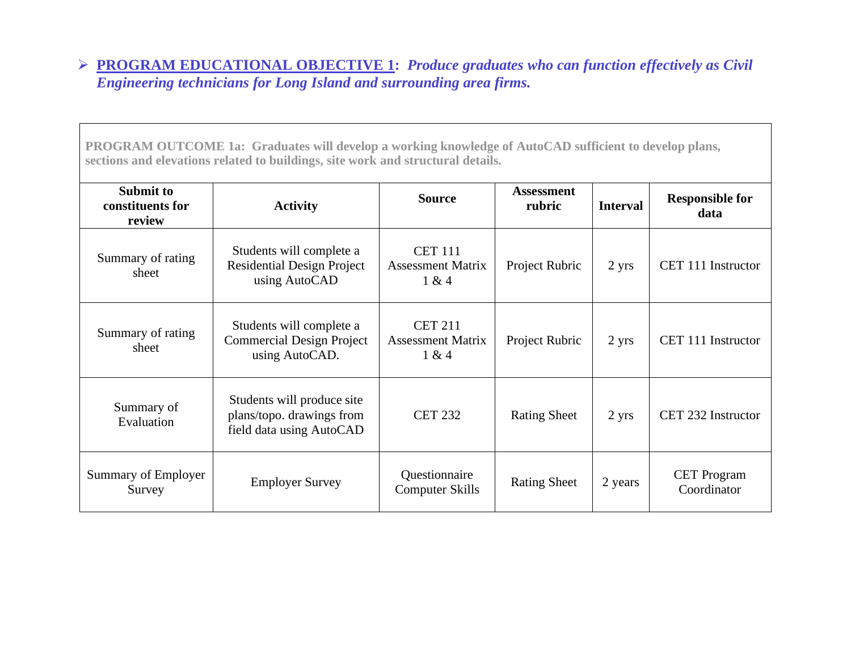## **EROGRAM EDUCATIONAL OBJECTIVE 1: Produce graduates who can function effectively as Civil** *Engineering technicians for Long Island and surrounding area firms.*

**PROGRAM OUTCOME 1a: Graduates will develop a working knowledge of AutoCAD sufficient to develop plans, sections and elevations related to buildings, site work and structural details.** 

| <b>Submit to</b><br>constituents for<br>review | <b>Activity</b>                                                                     | <b>Source</b>                                       | <b>Assessment</b><br>rubric | <b>Interval</b> | <b>Responsible for</b><br>data    |
|------------------------------------------------|-------------------------------------------------------------------------------------|-----------------------------------------------------|-----------------------------|-----------------|-----------------------------------|
| Summary of rating<br>sheet                     | Students will complete a<br><b>Residential Design Project</b><br>using AutoCAD      | <b>CET 111</b><br><b>Assessment Matrix</b><br>1 & 4 | Project Rubric              | 2 yrs           | CET 111 Instructor                |
| Summary of rating<br>sheet                     | Students will complete a<br><b>Commercial Design Project</b><br>using AutoCAD.      | <b>CET 211</b><br><b>Assessment Matrix</b><br>1 & 4 | Project Rubric              | 2 yrs           | CET 111 Instructor                |
| Summary of<br>Evaluation                       | Students will produce site<br>plans/topo. drawings from<br>field data using AutoCAD | <b>CET 232</b>                                      | <b>Rating Sheet</b>         | 2 yrs           | CET 232 Instructor                |
| Summary of Employer<br>Survey                  | <b>Employer Survey</b>                                                              | Questionnaire<br><b>Computer Skills</b>             | <b>Rating Sheet</b>         | 2 years         | <b>CET</b> Program<br>Coordinator |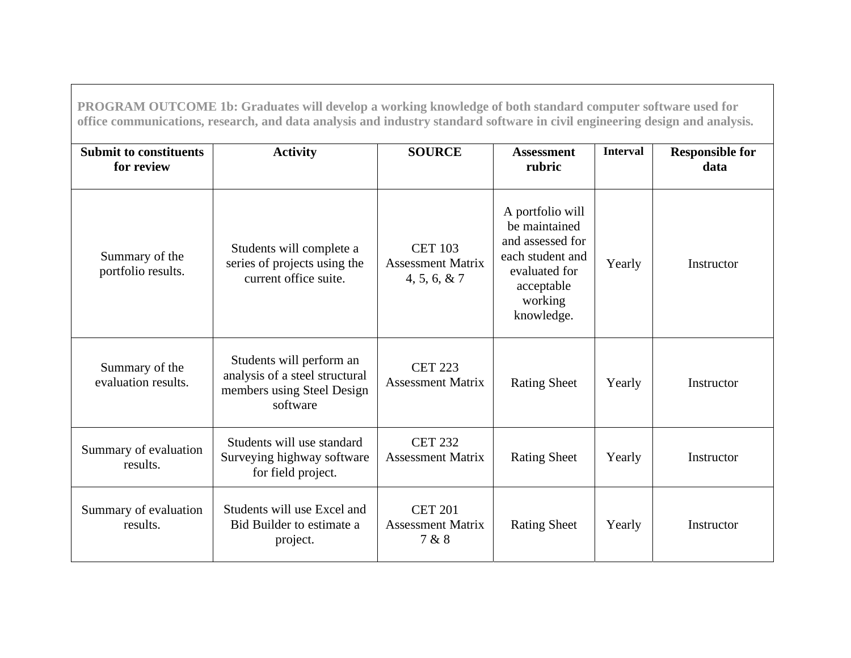| PROGRAM OUTCOME 1b: Graduates will develop a working knowledge of both standard computer software used for<br>office communications, research, and data analysis and industry standard software in civil engineering design and analysis. |                                                                                                      |                                                             |                                                                                                                                   |                 |                                |  |  |  |  |
|-------------------------------------------------------------------------------------------------------------------------------------------------------------------------------------------------------------------------------------------|------------------------------------------------------------------------------------------------------|-------------------------------------------------------------|-----------------------------------------------------------------------------------------------------------------------------------|-----------------|--------------------------------|--|--|--|--|
| <b>Submit to constituents</b><br>for review                                                                                                                                                                                               | <b>Activity</b>                                                                                      | <b>SOURCE</b>                                               | <b>Assessment</b><br>rubric                                                                                                       | <b>Interval</b> | <b>Responsible for</b><br>data |  |  |  |  |
| Summary of the<br>portfolio results.                                                                                                                                                                                                      | Students will complete a<br>series of projects using the<br>current office suite.                    | <b>CET 103</b><br><b>Assessment Matrix</b><br>4, 5, 6, 8, 7 | A portfolio will<br>be maintained<br>and assessed for<br>each student and<br>evaluated for<br>acceptable<br>working<br>knowledge. | Yearly          | Instructor                     |  |  |  |  |
| Summary of the<br>evaluation results.                                                                                                                                                                                                     | Students will perform an<br>analysis of a steel structural<br>members using Steel Design<br>software | <b>CET 223</b><br><b>Assessment Matrix</b>                  | <b>Rating Sheet</b>                                                                                                               | Yearly          | Instructor                     |  |  |  |  |
| Summary of evaluation<br>results.                                                                                                                                                                                                         | Students will use standard<br>Surveying highway software<br>for field project.                       | <b>CET 232</b><br><b>Assessment Matrix</b>                  | <b>Rating Sheet</b>                                                                                                               | Yearly          | Instructor                     |  |  |  |  |
| Summary of evaluation<br>results.                                                                                                                                                                                                         | Students will use Excel and<br>Bid Builder to estimate a<br>project.                                 | <b>CET 201</b><br><b>Assessment Matrix</b><br>7 & 8         | <b>Rating Sheet</b>                                                                                                               | Yearly          | Instructor                     |  |  |  |  |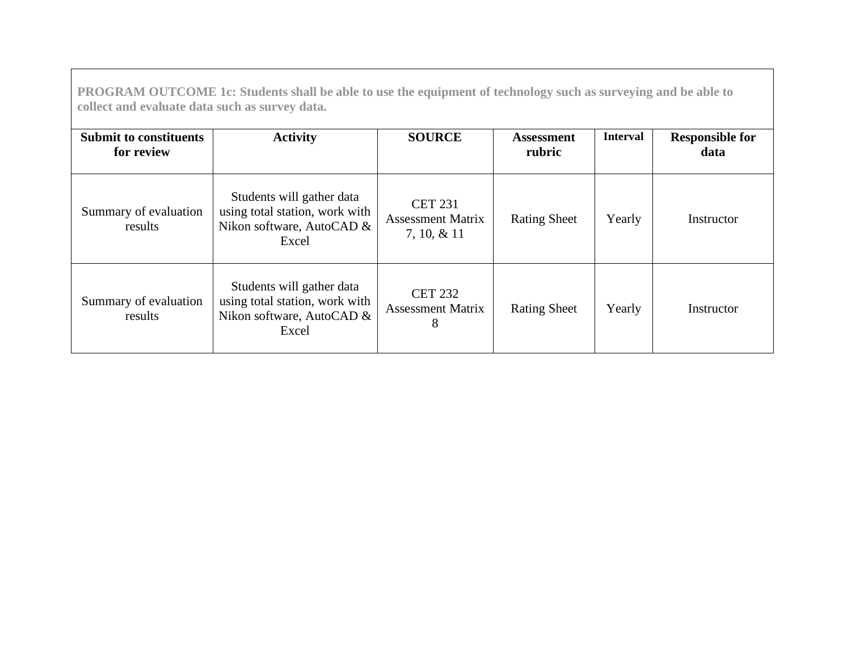**PROGRAM OUTCOME 1c: Students shall be able to use the equipment of technology such as surveying and be able to collect and evaluate data such as survey data.** 

| <b>Submit to constituents</b><br>for review | <b>Activity</b>                                                                                   | <b>SOURCE</b>                                                | <b>Assessment</b><br>rubric | <b>Interval</b> | <b>Responsible for</b><br>data |
|---------------------------------------------|---------------------------------------------------------------------------------------------------|--------------------------------------------------------------|-----------------------------|-----------------|--------------------------------|
| Summary of evaluation<br>results            | Students will gather data<br>using total station, work with<br>Nikon software, AutoCAD &<br>Excel | <b>CET 231</b><br><b>Assessment Matrix</b><br>$7, 10, \& 11$ | <b>Rating Sheet</b>         | Yearly          | Instructor                     |
| Summary of evaluation<br>results            | Students will gather data<br>using total station, work with<br>Nikon software, AutoCAD &<br>Excel | <b>CET 232</b><br><b>Assessment Matrix</b><br>8              | <b>Rating Sheet</b>         | Yearly          | Instructor                     |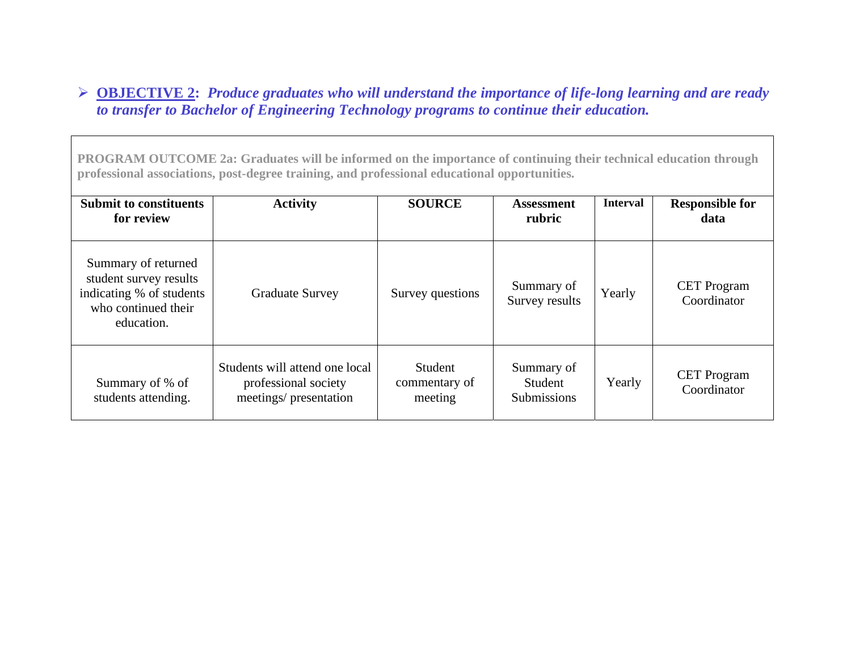## - **OBJECTIVE 2:** *Produce graduates who will understand the importance of life-long learning and are ready to transfer to Bachelor of Engineering Technology programs to continue their education.*

**PROGRAM OUTCOME 2a: Graduates will be informed on the importance of continuing their technical education through professional associations, post-degree training, and professional educational opportunities.**

| <b>Submit to constituents</b><br>for review                                                                    | <b>Activity</b>                                                                 | <b>SOURCE</b>                       | <b>Assessment</b><br>rubric                 | <b>Interval</b> | <b>Responsible for</b><br>data    |
|----------------------------------------------------------------------------------------------------------------|---------------------------------------------------------------------------------|-------------------------------------|---------------------------------------------|-----------------|-----------------------------------|
| Summary of returned<br>student survey results<br>indicating % of students<br>who continued their<br>education. | <b>Graduate Survey</b>                                                          | Survey questions                    | Summary of<br>Survey results                | Yearly          | <b>CET</b> Program<br>Coordinator |
| Summary of % of<br>students attending.                                                                         | Students will attend one local<br>professional society<br>meetings/presentation | Student<br>commentary of<br>meeting | Summary of<br>Student<br><b>Submissions</b> | Yearly          | <b>CET</b> Program<br>Coordinator |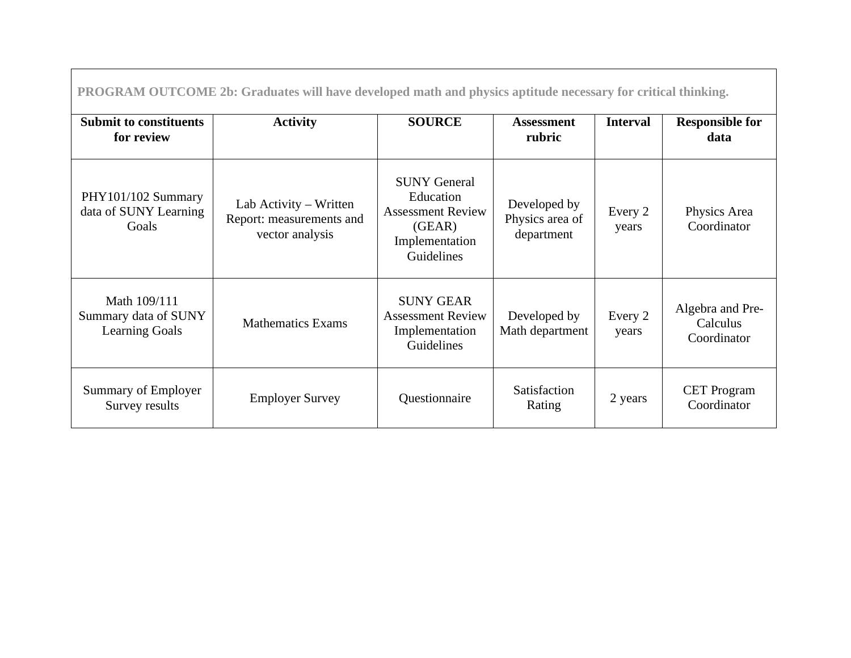**PROGRAM OUTCOME 2b: Graduates will have developed math and physics aptitude necessary for critical thinking.** 

| <b>Submit to constituents</b><br>for review                   | <b>Activity</b>                                                       | <b>SOURCE</b>                                                                                          | <b>Assessment</b><br>rubric                   | <b>Interval</b>  | <b>Responsible for</b><br>data              |
|---------------------------------------------------------------|-----------------------------------------------------------------------|--------------------------------------------------------------------------------------------------------|-----------------------------------------------|------------------|---------------------------------------------|
| PHY101/102 Summary<br>data of SUNY Learning<br>Goals          | Lab Activity – Written<br>Report: measurements and<br>vector analysis | <b>SUNY General</b><br>Education<br><b>Assessment Review</b><br>(GEAR)<br>Implementation<br>Guidelines | Developed by<br>Physics area of<br>department | Every 2<br>years | Physics Area<br>Coordinator                 |
| Math 109/111<br>Summary data of SUNY<br><b>Learning Goals</b> | <b>Mathematics Exams</b>                                              | <b>SUNY GEAR</b><br><b>Assessment Review</b><br>Implementation<br>Guidelines                           | Developed by<br>Math department               | Every 2<br>years | Algebra and Pre-<br>Calculus<br>Coordinator |
| Summary of Employer<br>Survey results                         | <b>Employer Survey</b>                                                | Questionnaire                                                                                          | Satisfaction<br>Rating                        | 2 years          | <b>CET</b> Program<br>Coordinator           |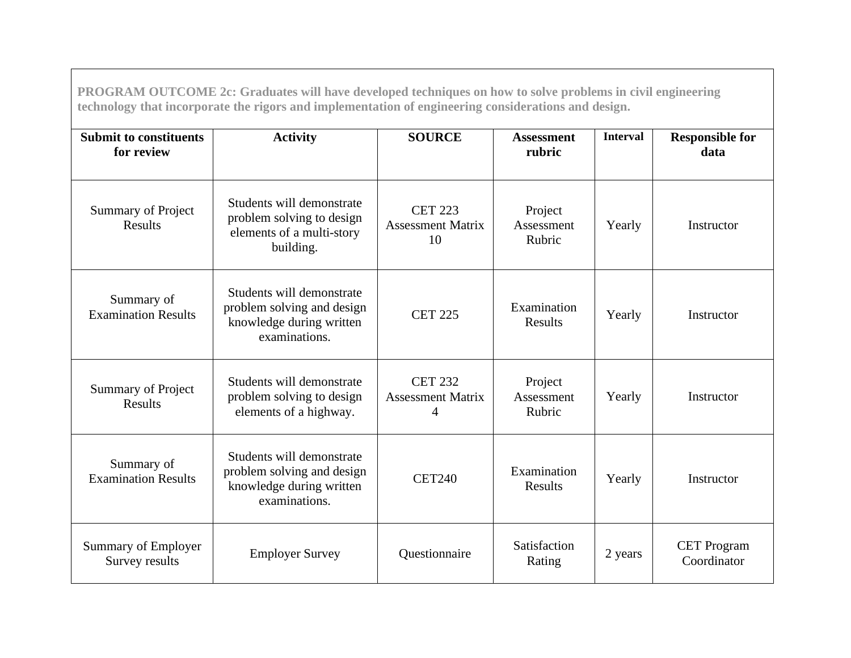| PROGRAM OUTCOME 2c: Graduates will have developed techniques on how to solve problems in civil engineering<br>technology that incorporate the rigors and implementation of engineering considerations and design. |                                                                                                      |                                                  |                                 |                 |                                   |  |  |  |
|-------------------------------------------------------------------------------------------------------------------------------------------------------------------------------------------------------------------|------------------------------------------------------------------------------------------------------|--------------------------------------------------|---------------------------------|-----------------|-----------------------------------|--|--|--|
| <b>Submit to constituents</b><br>for review                                                                                                                                                                       | <b>Activity</b>                                                                                      | <b>SOURCE</b>                                    | <b>Assessment</b><br>rubric     | <b>Interval</b> | <b>Responsible for</b><br>data    |  |  |  |
| <b>Summary of Project</b><br>Results                                                                                                                                                                              | Students will demonstrate<br>problem solving to design<br>elements of a multi-story<br>building.     | <b>CET 223</b><br><b>Assessment Matrix</b><br>10 | Project<br>Assessment<br>Rubric | Yearly          | Instructor                        |  |  |  |
| Summary of<br><b>Examination Results</b>                                                                                                                                                                          | Students will demonstrate<br>problem solving and design<br>knowledge during written<br>examinations. | <b>CET 225</b>                                   | Examination<br><b>Results</b>   | Yearly          | Instructor                        |  |  |  |
| Summary of Project<br><b>Results</b>                                                                                                                                                                              | Students will demonstrate<br>problem solving to design<br>elements of a highway.                     | <b>CET 232</b><br><b>Assessment Matrix</b><br>4  | Project<br>Assessment<br>Rubric | Yearly          | Instructor                        |  |  |  |
| Summary of<br><b>Examination Results</b>                                                                                                                                                                          | Students will demonstrate<br>problem solving and design<br>knowledge during written<br>examinations. | <b>CET240</b>                                    | Examination<br><b>Results</b>   | Yearly          | Instructor                        |  |  |  |
| Summary of Employer<br>Survey results                                                                                                                                                                             | <b>Employer Survey</b>                                                                               | Questionnaire                                    | Satisfaction<br>Rating          | 2 years         | <b>CET</b> Program<br>Coordinator |  |  |  |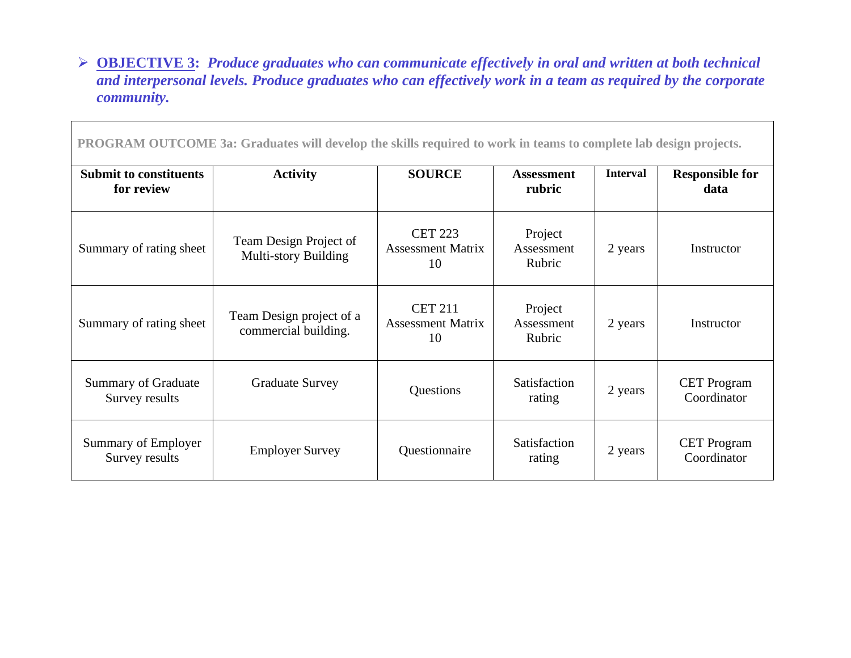## - **OBJECTIVE 3:** *Produce graduates who can communicate effectively in oral and written at both technical and interpersonal levels. Produce graduates who can effectively work in a team as required by the corporate community.*

**PROGRAM OUTCOME 3a: Graduates will develop the skills required to work in teams to complete lab design projects.** 

| <b>Submit to constituents</b><br>for review  | <b>Activity</b>                                  | <b>SOURCE</b>                                    | <b>Assessment</b><br>rubric     | <b>Interval</b> | <b>Responsible for</b><br>data    |
|----------------------------------------------|--------------------------------------------------|--------------------------------------------------|---------------------------------|-----------------|-----------------------------------|
| Summary of rating sheet                      | Team Design Project of<br>Multi-story Building   | <b>CET 223</b><br><b>Assessment Matrix</b><br>10 | Project<br>Assessment<br>Rubric | 2 years         | Instructor                        |
| Summary of rating sheet                      | Team Design project of a<br>commercial building. | <b>CET 211</b><br><b>Assessment Matrix</b><br>10 | Project<br>Assessment<br>Rubric | 2 years         | Instructor                        |
| <b>Summary of Graduate</b><br>Survey results | <b>Graduate Survey</b>                           | Questions                                        | Satisfaction<br>rating          | 2 years         | <b>CET Program</b><br>Coordinator |
| Summary of Employer<br>Survey results        | <b>Employer Survey</b>                           | Questionnaire                                    | Satisfaction<br>rating          | 2 years         | <b>CET</b> Program<br>Coordinator |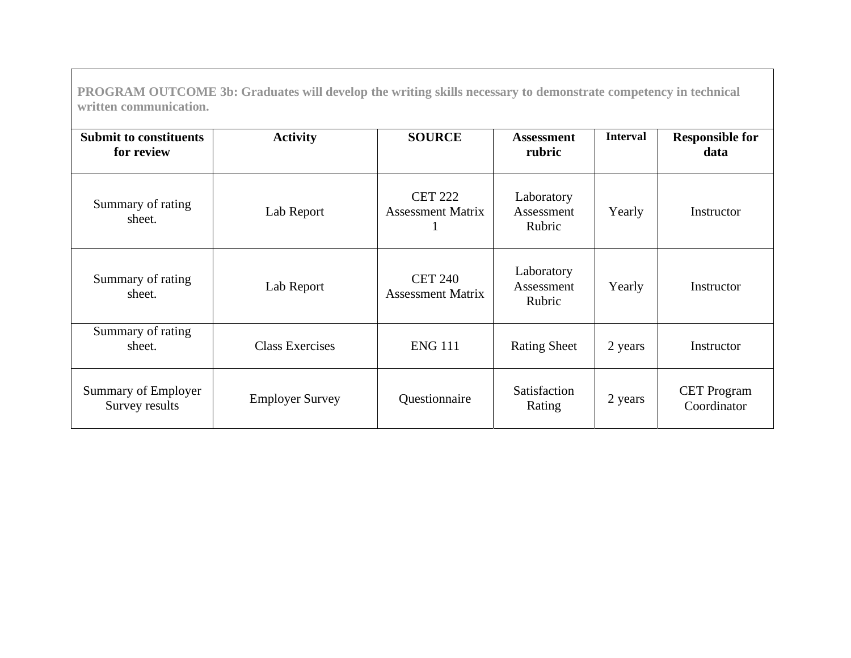**PROGRAM OUTCOME 3b: Graduates will develop the writing skills necessary to demonstrate competency in technical written communication.** 

| <b>Submit to constituents</b><br>for review | <b>Activity</b>        | <b>SOURCE</b>                              | <b>Assessment</b><br>rubric        | <b>Interval</b> | <b>Responsible for</b><br>data    |
|---------------------------------------------|------------------------|--------------------------------------------|------------------------------------|-----------------|-----------------------------------|
| Summary of rating<br>sheet.                 | Lab Report             | <b>CET 222</b><br><b>Assessment Matrix</b> | Laboratory<br>Assessment<br>Rubric | Yearly          | Instructor                        |
| Summary of rating<br>sheet.                 | Lab Report             | <b>CET 240</b><br><b>Assessment Matrix</b> | Laboratory<br>Assessment<br>Rubric | Yearly          | Instructor                        |
| Summary of rating<br>sheet.                 | <b>Class Exercises</b> | <b>ENG 111</b>                             | <b>Rating Sheet</b>                | 2 years         | Instructor                        |
| Summary of Employer<br>Survey results       | <b>Employer Survey</b> | Questionnaire                              | Satisfaction<br>Rating             | 2 years         | <b>CET</b> Program<br>Coordinator |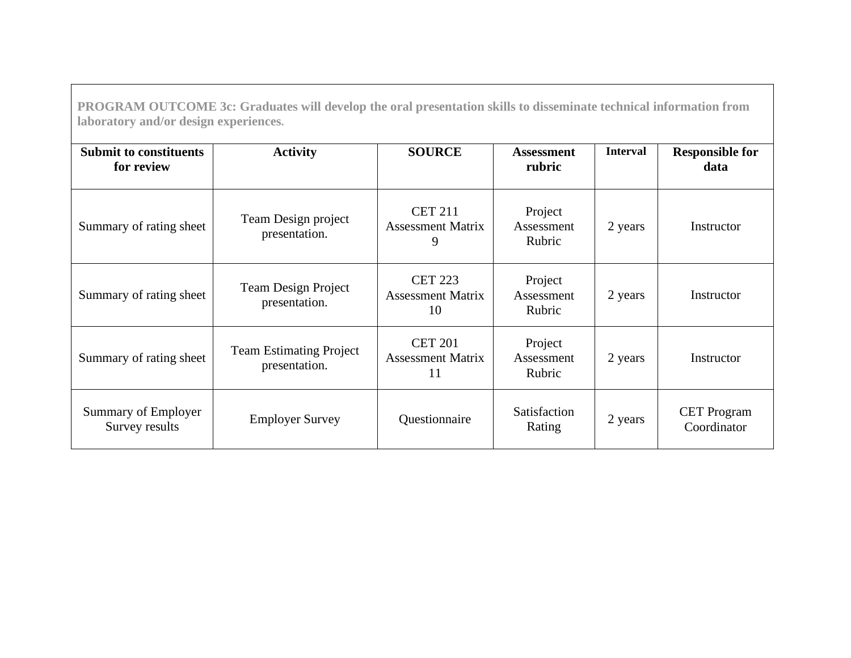**PROGRAM OUTCOME 3c: Graduates will develop the oral presentation skills to disseminate technical information from laboratory and/or design experiences.** 

| <b>Submit to constituents</b><br>for review | <b>Activity</b>                                 | <b>SOURCE</b>                                    | <b>Assessment</b><br>rubric     | <b>Interval</b> | <b>Responsible for</b><br>data    |
|---------------------------------------------|-------------------------------------------------|--------------------------------------------------|---------------------------------|-----------------|-----------------------------------|
| Summary of rating sheet                     | Team Design project<br>presentation.            | <b>CET 211</b><br><b>Assessment Matrix</b><br>9  | Project<br>Assessment<br>Rubric | 2 years         | Instructor                        |
| Summary of rating sheet                     | <b>Team Design Project</b><br>presentation.     | <b>CET 223</b><br><b>Assessment Matrix</b><br>10 | Project<br>Assessment<br>Rubric | 2 years         | Instructor                        |
| Summary of rating sheet                     | <b>Team Estimating Project</b><br>presentation. | <b>CET 201</b><br><b>Assessment Matrix</b><br>11 | Project<br>Assessment<br>Rubric | 2 years         | Instructor                        |
| Summary of Employer<br>Survey results       | <b>Employer Survey</b>                          | Questionnaire                                    | Satisfaction<br>Rating          | 2 years         | <b>CET</b> Program<br>Coordinator |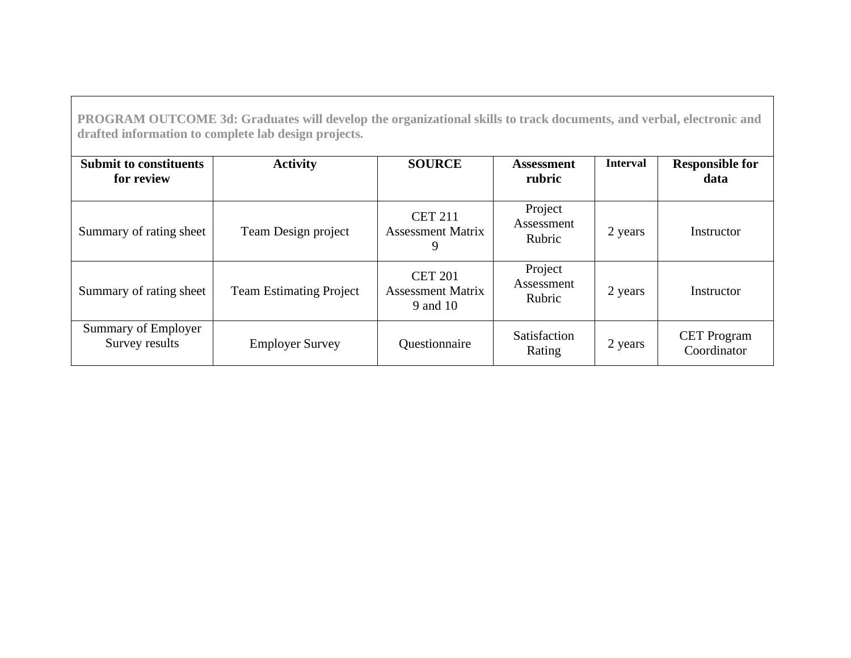**PROGRAM OUTCOME 3d: Graduates will develop the organizational skills to track documents, and verbal, electronic and drafted information to complete lab design projects.** 

| <b>Submit to constituents</b><br>for review | <b>Activity</b>                | <b>SOURCE</b>                                          | <b>Assessment</b><br>rubric     | <b>Interval</b> | <b>Responsible for</b><br>data    |
|---------------------------------------------|--------------------------------|--------------------------------------------------------|---------------------------------|-----------------|-----------------------------------|
| Summary of rating sheet                     | Team Design project            | <b>CET 211</b><br><b>Assessment Matrix</b><br>9        | Project<br>Assessment<br>Rubric | 2 years         | Instructor                        |
| Summary of rating sheet                     | <b>Team Estimating Project</b> | <b>CET 201</b><br><b>Assessment Matrix</b><br>9 and 10 | Project<br>Assessment<br>Rubric | 2 years         | Instructor                        |
| Summary of Employer<br>Survey results       | <b>Employer Survey</b>         | Questionnaire                                          | Satisfaction<br>Rating          | 2 years         | <b>CET</b> Program<br>Coordinator |